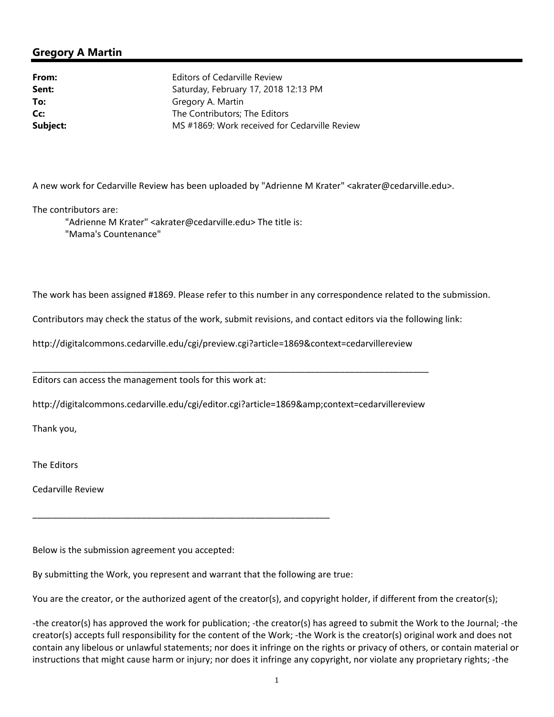## **Gregory A Martin**

**From:** Editors of Cedarville Review **Sent:** Saturday, February 17, 2018 12:13 PM **To:** Gregory A. Martin **Cc:** The Contributors; The Editors **Subject:** MS #1869: Work received for Cedarville Review

A new work for Cedarville Review has been uploaded by "Adrienne M Krater" <akrater@cedarville.edu>.

The contributors are:

 "Adrienne M Krater" <akrater@cedarville.edu> The title is: "Mama's Countenance"

The work has been assigned #1869. Please refer to this number in any correspondence related to the submission.

Contributors may check the status of the work, submit revisions, and contact editors via the following link:

http://digitalcommons.cedarville.edu/cgi/preview.cgi?article=1869&context=cedarvillereview

Editors can access the management tools for this work at:

http://digitalcommons.cedarville.edu/cgi/editor.cgi?article=1869&context=cedarvillereview

\_\_\_\_\_\_\_\_\_\_\_\_\_\_\_\_\_\_\_\_\_\_\_\_\_\_\_\_\_\_\_\_\_\_\_\_\_\_\_\_\_\_\_\_\_\_\_\_\_\_\_\_\_\_\_\_\_\_\_\_\_\_\_\_\_\_\_\_\_\_\_\_\_\_\_\_\_\_\_\_

Thank you,

The Editors

Cedarville Review

Below is the submission agreement you accepted:

By submitting the Work, you represent and warrant that the following are true:

\_\_\_\_\_\_\_\_\_\_\_\_\_\_\_\_\_\_\_\_\_\_\_\_\_\_\_\_\_\_\_\_\_\_\_\_\_\_\_\_\_\_\_\_\_\_\_\_\_\_\_\_\_\_\_\_\_\_\_\_

You are the creator, or the authorized agent of the creator(s), and copyright holder, if different from the creator(s);

‐the creator(s) has approved the work for publication; ‐the creator(s) has agreed to submit the Work to the Journal; ‐the creator(s) accepts full responsibility for the content of the Work; ‐the Work is the creator(s) original work and does not contain any libelous or unlawful statements; nor does it infringe on the rights or privacy of others, or contain material or instructions that might cause harm or injury; nor does it infringe any copyright, nor violate any proprietary rights; ‐the